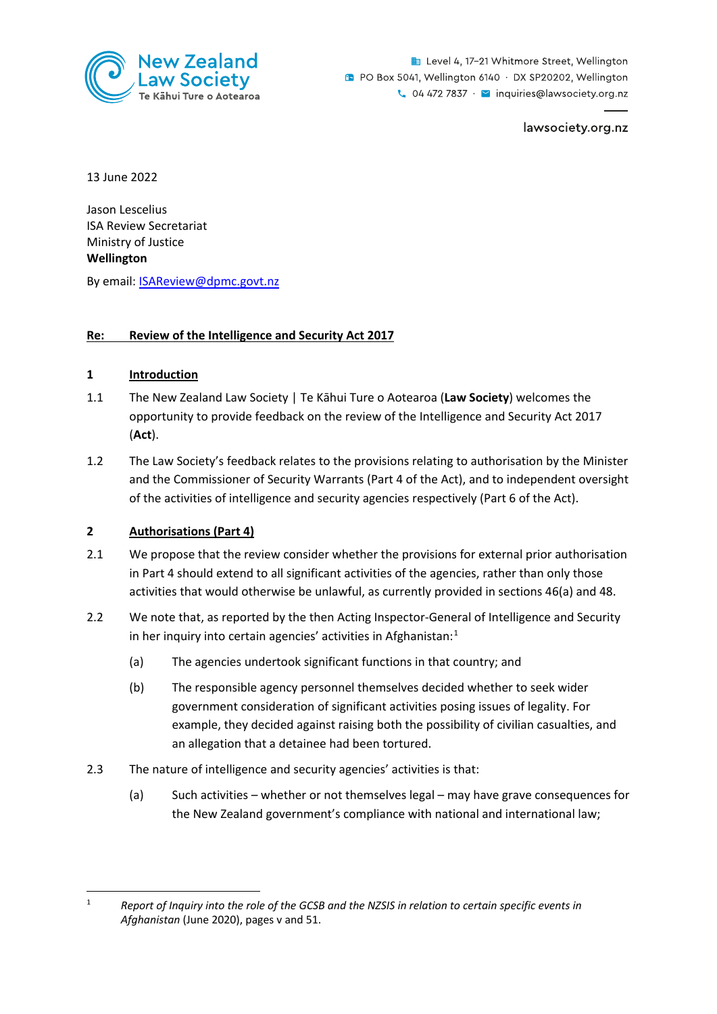

Level 4, 17-21 Whitmore Street, Wellington **D** PO Box 5041, Wellington 6140 · DX SP20202, Wellington  $\sim$  04 472 7837  $\cdot$   $\sim$  inquiries@lawsociety.org.nz

lawsociety.org.nz

13 June 2022

Jason Lescelius ISA Review Secretariat Ministry of Justice **Wellington** 

By email: ISAReview@dpmc.govt.nz

## **Re: Review of the Intelligence and Security Act 2017**

## **1 Introduction**

- 1.1 The New Zealand Law Society | Te Kāhui Ture o Aotearoa (**Law Society**) welcomes the opportunity to provide feedback on the review of the Intelligence and Security Act 2017 (**Act**).
- 1.2 The Law Society's feedback relates to the provisions relating to authorisation by the Minister and the Commissioner of Security Warrants (Part 4 of the Act), and to independent oversight of the activities of intelligence and security agencies respectively (Part 6 of the Act).

## **2 Authorisations (Part 4)**

- 2.1 We propose that the review consider whether the provisions for external prior authorisation in Part 4 should extend to all significant activities of the agencies, rather than only those activities that would otherwise be unlawful, as currently provided in sections 46(a) and 48.
- <span id="page-0-1"></span>2.2 We note that, as reported by the then Acting Inspector-General of Intelligence and Security in her inquiry into certain agencies' activities in Afghanistan: $<sup>1</sup>$  $<sup>1</sup>$  $<sup>1</sup>$ </sup>
	- (a) The agencies undertook significant functions in that country; and
	- (b) The responsible agency personnel themselves decided whether to seek wider government consideration of significant activities posing issues of legality. For example, they decided against raising both the possibility of civilian casualties, and an allegation that a detainee had been tortured.
- 2.3 The nature of intelligence and security agencies' activities is that:
	- (a) Such activities whether or not themselves legal may have grave consequences for the New Zealand government's compliance with national and international law;

<span id="page-0-0"></span><sup>1</sup> *Report of Inquiry into the role of the GCSB and the NZSIS in relation to certain specific events in Afghanistan* (June 2020), pages v and 51.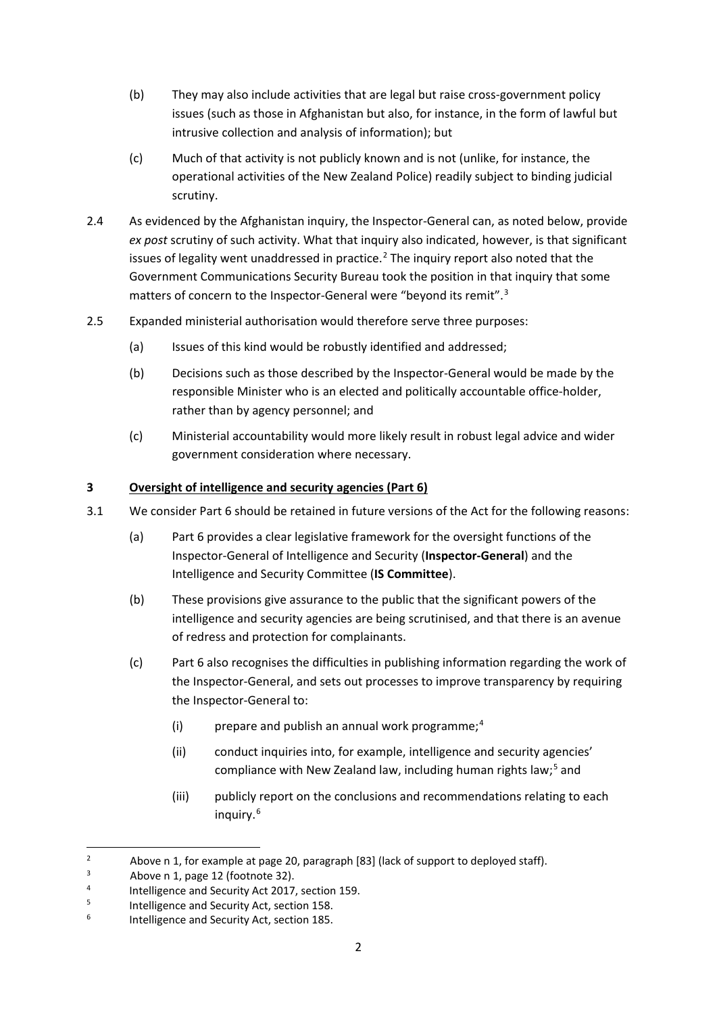- (b) They may also include activities that are legal but raise cross-government policy issues (such as those in Afghanistan but also, for instance, in the form of lawful but intrusive collection and analysis of information); but
- (c) Much of that activity is not publicly known and is not (unlike, for instance, the operational activities of the New Zealand Police) readily subject to binding judicial scrutiny.
- 2.4 As evidenced by the Afghanistan inquiry, the Inspector-General can, as noted below, provide *ex post* scrutiny of such activity. What that inquiry also indicated, however, is that significant issues of legality went unaddressed in practice.<sup>[2](#page-1-0)</sup> The inquiry report also noted that the Government Communications Security Bureau took the position in that inquiry that some matters of concern to the Inspector-General were "beyond its remit".<sup>[3](#page-1-1)</sup>
- 2.5 Expanded ministerial authorisation would therefore serve three purposes:
	- (a) Issues of this kind would be robustly identified and addressed;
	- (b) Decisions such as those described by the Inspector-General would be made by the responsible Minister who is an elected and politically accountable office-holder, rather than by agency personnel; and
	- (c) Ministerial accountability would more likely result in robust legal advice and wider government consideration where necessary.

## **3 Oversight of intelligence and security agencies (Part 6)**

- 3.1 We consider Part 6 should be retained in future versions of the Act for the following reasons:
	- (a) Part 6 provides a clear legislative framework for the oversight functions of the Inspector-General of Intelligence and Security (**Inspector-General**) and the Intelligence and Security Committee (**IS Committee**).
	- (b) These provisions give assurance to the public that the significant powers of the intelligence and security agencies are being scrutinised, and that there is an avenue of redress and protection for complainants.
	- (c) Part 6 also recognises the difficulties in publishing information regarding the work of the Inspector-General, and sets out processes to improve transparency by requiring the Inspector-General to:
		- (i) prepare and publish an annual work programme; [4](#page-1-2)
		- (ii) conduct inquiries into, for example, intelligence and security agencies' compliance with New Zealand law, including human rights law;<sup>[5](#page-1-3)</sup> and
		- (iii) publicly report on the conclusions and recommendations relating to each inquiry. [6](#page-1-4)

<span id="page-1-0"></span><sup>&</sup>lt;sup>2</sup> Above [n 1,](#page-0-1) for example at page 20, paragraph [83] (lack of support to deployed staff).

<span id="page-1-1"></span>Above [n 1,](#page-0-1) page 12 (footnote 32).

<span id="page-1-2"></span><sup>4</sup> <sup>4</sup> Intelligence and Security Act 2017, section 159.<br> $\frac{5}{2}$  Intelligence and Security Act, section 158

Intelligence and Security Act, section 158.

<span id="page-1-4"></span><span id="page-1-3"></span><sup>6</sup> Intelligence and Security Act, section 185.